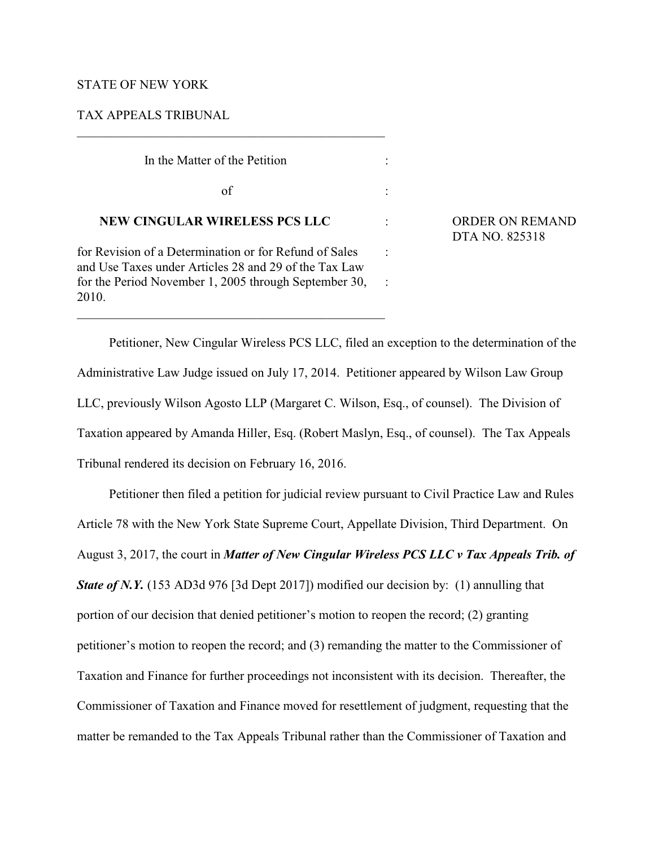## STATE OF NEW YORK

## TAX APPEALS TRIBUNAL

In the Matter of the Petition :

 $\sigma$  of  $\sigma$ :

## **NEW CINGULAR WIRELESS PCS LLC** : ORDER ON REMAND

for Revision of a Determination or for Refund of Sales : and Use Taxes under Articles 28 and 29 of the Tax Law for the Period November 1, 2005 through September 30, 2010.

## DTA NO. 825318

Petitioner, New Cingular Wireless PCS LLC, filed an exception to the determination of the Administrative Law Judge issued on July 17, 2014. Petitioner appeared by Wilson Law Group LLC, previously Wilson Agosto LLP (Margaret C. Wilson, Esq., of counsel). The Division of Taxation appeared by Amanda Hiller, Esq. (Robert Maslyn, Esq., of counsel). The Tax Appeals Tribunal rendered its decision on February 16, 2016.

Petitioner then filed a petition for judicial review pursuant to Civil Practice Law and Rules Article 78 with the New York State Supreme Court, Appellate Division, Third Department. On August 3, 2017, the court in *Matter of New Cingular Wireless PCS LLC v Tax Appeals Trib. of State of N.Y.* (153 AD3d 976 [3d Dept 2017]) modified our decision by: (1) annulling that portion of our decision that denied petitioner's motion to reopen the record; (2) granting petitioner's motion to reopen the record; and (3) remanding the matter to the Commissioner of Taxation and Finance for further proceedings not inconsistent with its decision. Thereafter, the Commissioner of Taxation and Finance moved for resettlement of judgment, requesting that the matter be remanded to the Tax Appeals Tribunal rather than the Commissioner of Taxation and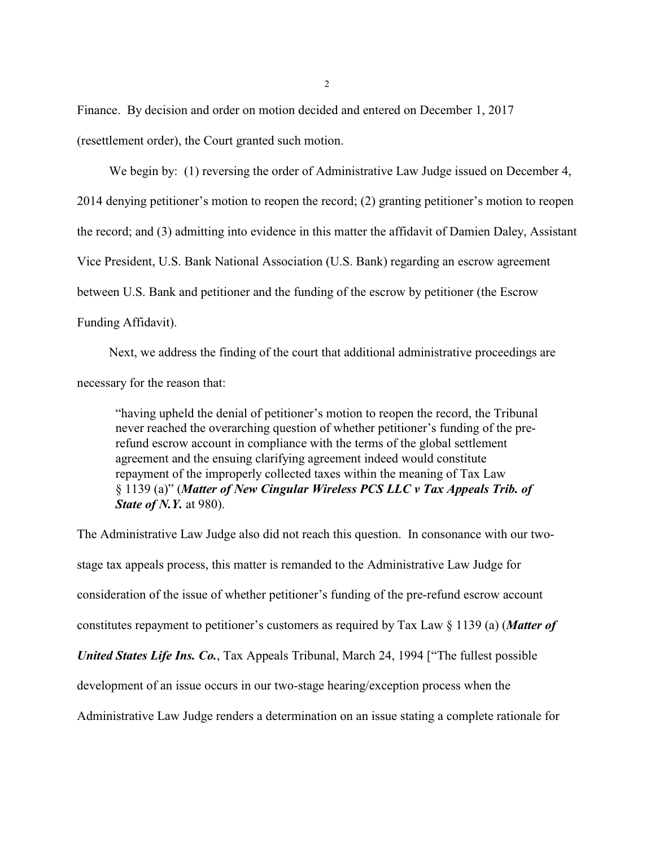Finance. By decision and order on motion decided and entered on December 1, 2017 (resettlement order), the Court granted such motion.

We begin by: (1) reversing the order of Administrative Law Judge issued on December 4, 2014 denying petitioner's motion to reopen the record; (2) granting petitioner's motion to reopen the record; and (3) admitting into evidence in this matter the affidavit of Damien Daley, Assistant Vice President, U.S. Bank National Association (U.S. Bank) regarding an escrow agreement between U.S. Bank and petitioner and the funding of the escrow by petitioner (the Escrow Funding Affidavit).

Next, we address the finding of the court that additional administrative proceedings are necessary for the reason that:

"having upheld the denial of petitioner's motion to reopen the record, the Tribunal never reached the overarching question of whether petitioner's funding of the prerefund escrow account in compliance with the terms of the global settlement agreement and the ensuing clarifying agreement indeed would constitute repayment of the improperly collected taxes within the meaning of Tax Law § 1139 (a)" (*Matter of New Cingular Wireless PCS LLC v Tax Appeals Trib. of State of N.Y.* at 980).

The Administrative Law Judge also did not reach this question. In consonance with our twostage tax appeals process, this matter is remanded to the Administrative Law Judge for consideration of the issue of whether petitioner's funding of the pre-refund escrow account constitutes repayment to petitioner's customers as required by Tax Law § 1139 (a) (*Matter of United States Life Ins. Co.*, Tax Appeals Tribunal, March 24, 1994 ["The fullest possible development of an issue occurs in our two-stage hearing/exception process when the Administrative Law Judge renders a determination on an issue stating a complete rationale for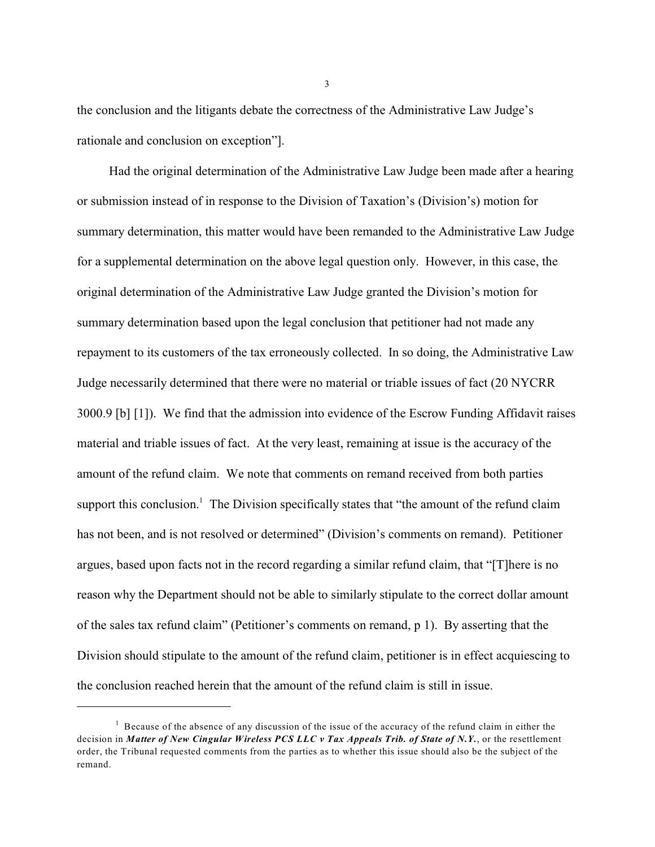the conclusion and the litigants debate the correctness of the Administrative Law Judge's rationale and conclusion on exception"].

Had the original determination of the Administrative Law Judge been made after a hearing or submission instead of in response to the Division of Taxation's (Division's) motion for summary determination, this matter would have been remanded to the Administrative Law Judge for a supplemental determination on the above legal question only. However, in this case, the original determination of the Administrative Law Judge granted the Division's motion for summary determination based upon the legal conclusion that petitioner had not made any repayment to its customers of the tax erroneously collected. In so doing, the Administrative Law Judge necessarily determined that there were no material or triable issues of fact (20 NYCRR 3000.9 [b] [1]). We find that the admission into evidence of the Escrow Funding Affidavit raises material and triable issues of fact. At the very least, remaining at issue is the accuracy of the amount of the refund claim. We note that comments on remand received from both parties support this conclusion.<sup>1</sup> The Division specifically states that "the amount of the refund claim has not been, and is not resolved or determined" (Division's comments on remand). Petitioner argues, based upon facts not in the record regarding a similar refund claim, that "[T]here is no reason why the Department should not be able to similarly stipulate to the correct dollar amount of the sales tax refund claim" (Petitioner's comments on remand, p 1). By asserting that the Division should stipulate to the amount of the refund claim, petitioner is in effect acquiescing to the conclusion reached herein that the amount of the refund claim is still in issue.

3

 $1$  Because of the absence of any discussion of the issue of the accuracy of the refund claim in either the decision in *Matter of New Cingular Wireless PCS LLC v Tax Appeals Trib. of State of N.Y.*, or the resettlement order, the Tribunal requested comments from the parties as to whether this issue should also be the subject of the remand.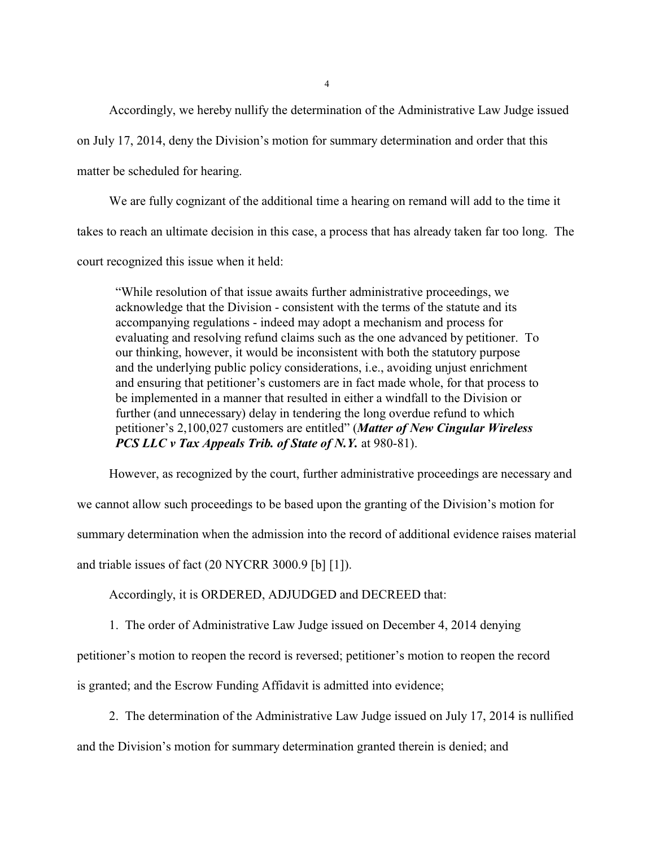Accordingly, we hereby nullify the determination of the Administrative Law Judge issued

on July 17, 2014, deny the Division's motion for summary determination and order that this

matter be scheduled for hearing.

We are fully cognizant of the additional time a hearing on remand will add to the time it takes to reach an ultimate decision in this case, a process that has already taken far too long. The court recognized this issue when it held:

"While resolution of that issue awaits further administrative proceedings, we acknowledge that the Division - consistent with the terms of the statute and its accompanying regulations - indeed may adopt a mechanism and process for evaluating and resolving refund claims such as the one advanced by petitioner. To our thinking, however, it would be inconsistent with both the statutory purpose and the underlying public policy considerations, i.e., avoiding unjust enrichment and ensuring that petitioner's customers are in fact made whole, for that process to be implemented in a manner that resulted in either a windfall to the Division or further (and unnecessary) delay in tendering the long overdue refund to which petitioner's 2,100,027 customers are entitled" (*Matter of New Cingular Wireless PCS LLC v Tax Appeals Trib. of State of N.Y.* at 980-81).

However, as recognized by the court, further administrative proceedings are necessary and

we cannot allow such proceedings to be based upon the granting of the Division's motion for

summary determination when the admission into the record of additional evidence raises material

and triable issues of fact (20 NYCRR 3000.9 [b] [1]).

Accordingly, it is ORDERED, ADJUDGED and DECREED that:

1. The order of Administrative Law Judge issued on December 4, 2014 denying

petitioner's motion to reopen the record is reversed; petitioner's motion to reopen the record

is granted; and the Escrow Funding Affidavit is admitted into evidence;

2. The determination of the Administrative Law Judge issued on July 17, 2014 is nullified

and the Division's motion for summary determination granted therein is denied; and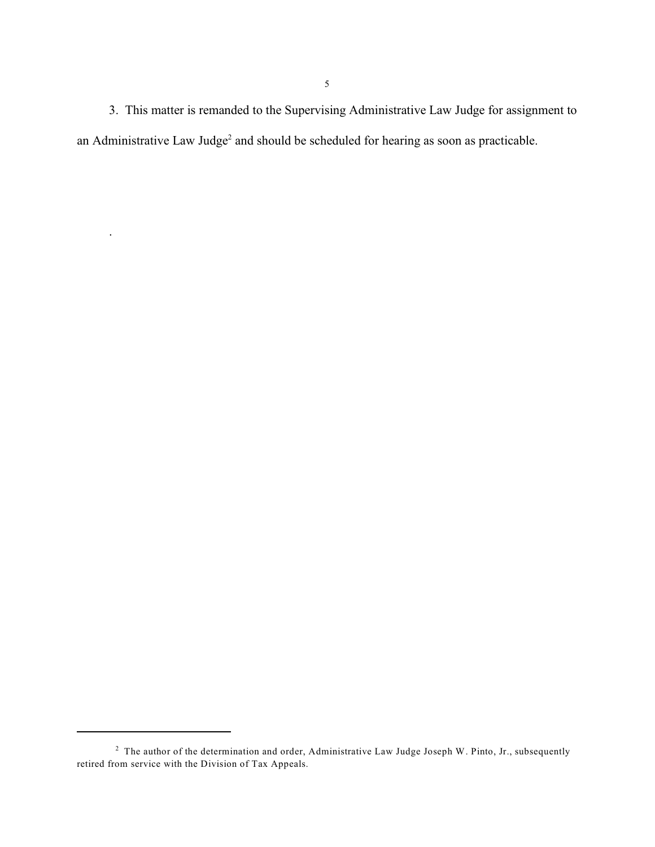3. This matter is remanded to the Supervising Administrative Law Judge for assignment to an Administrative Law Judge<sup>2</sup> and should be scheduled for hearing as soon as practicable.

.

<sup>&</sup>lt;sup>2</sup> The author of the determination and order, Administrative Law Judge Joseph W. Pinto, Jr., subsequently retired from service with the Division of Tax Appeals.